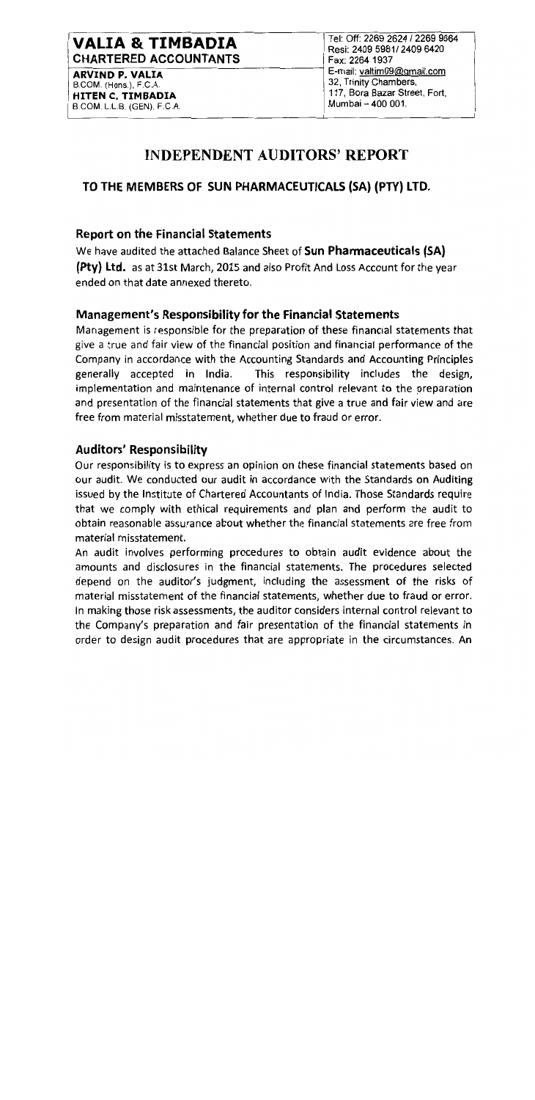## **VALIA & TIMBADIA CHARTERED ACCOUNTANTS**

**ARVIND P. VALIA** B.COM. (Hons.), F.C.A. HITEN C. TIMBADIA B.COM. L.L.B. (GEN), F.C.A. Tel: Off: 2269 2624 / 2269 9664 Resi: 2409 5981/2409 6420 Fax: 2264 1937 E-mail: valtim09@gmail.com 32, Trinity Chambers, 117, Bora Bazar Street, Fort, Mumbai - 400 001.

# **INDEPENDENT AUDITORS' REPORT**

## TO THE MEMBERS OF SUN PHARMACEUTICALS (SA) (PTY) LTD.

#### **Report on the Financial Statements**

We have audited the attached Balance Sheet of Sun Pharmaceuticals (SA) (Pty) Ltd. as at 31st March, 2015 and also Profit And Loss Account for the year ended on that date annexed thereto.

### **Management's Responsibility for the Financial Statements**

Management is responsible for the preparation of these financial statements that give a true and fair view of the financial position and financial performance of the Company in accordance with the Accounting Standards and Accounting Principles generally accepted in India. This responsibility includes the design, implementation and maintenance of internal control relevant to the preparation and presentation of the financial statements that give a true and fair view and are free from material misstatement, whether due to fraud or error.

### **Auditors' Responsibility**

Our responsibility is to express an opinion on these financial statements based on our audit. We conducted our audit in accordance with the Standards on Auditing issued by the Institute of Chartered Accountants of India. Those Standards require that we comply with ethical requirements and plan and perform the audit to obtain reasonable assurance about whether the financial statements are free from material misstatement.

An audit involves performing procedures to obtain audit evidence about the amounts and disclosures in the financial statements. The procedures selected depend on the auditor's judgment, including the assessment of the risks of material misstatement of the financial statements, whether due to fraud or error. In making those risk assessments, the auditor considers internal control relevant to the Company's preparation and fair presentation of the financial statements in order to design audit procedures that are appropriate in the circumstances. An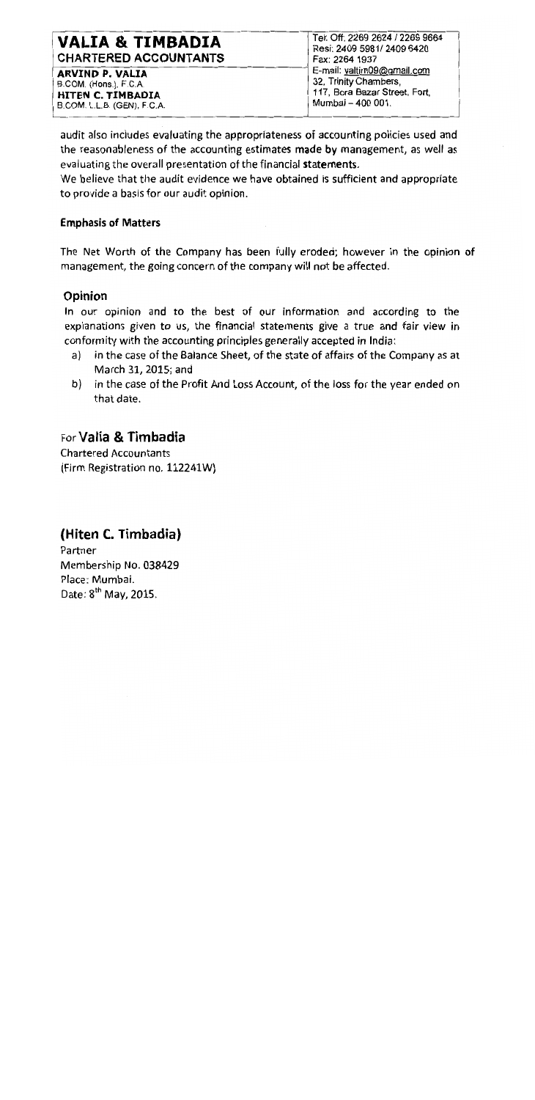## VALIA & TIMBADIA **CHARTERED ACCOUNTANTS**

**ARVIND P. VALIA** B.COM. (Hons.), F.C.A. **HITEN C. TIMBADIA** B.COM, L.L.B. (GEN), F.C.A. Tel: Off: 2269 2624 / 2269 9664 Resi: 2409 5981/ 2409 6420 Fax: 2264 1937 E-mail: valtim09@gmail.com 32, Trinity Chambers, 117, Bora Bazar Street, Fort. Mumbai - 400 001.

audit also includes evaluating the appropriateness of accounting policies used and the reasonableness of the accounting estimates made by management, as well as evaluating the overall presentation of the financial statements.

We believe that the audit evidence we have obtained is sufficient and appropriate to provide a basis for our audit opinion.

#### **Emphasis of Matters**

The Net Worth of the Company has been fully eroded; however in the opinion of management, the going concern of the company will not be affected.

### Opinion

In our opinion and to the best of our information and according to the explanations given to us, the financial statements give a true and fair view in conformity with the accounting principles generally accepted in India:

- in the case of the Balance Sheet, of the state of affairs of the Company as at a) March 31, 2015; and
- b) in the case of the Profit And Loss Account, of the loss for the year ended on that date.

## For Valia & Timbadia

**Chartered Accountants** (Firm Registration no. 112241W)

# (Hiten C. Timbadia)

Partner Membership No. 038429 Place: Mumbai. Date: 8<sup>th</sup> May, 2015.